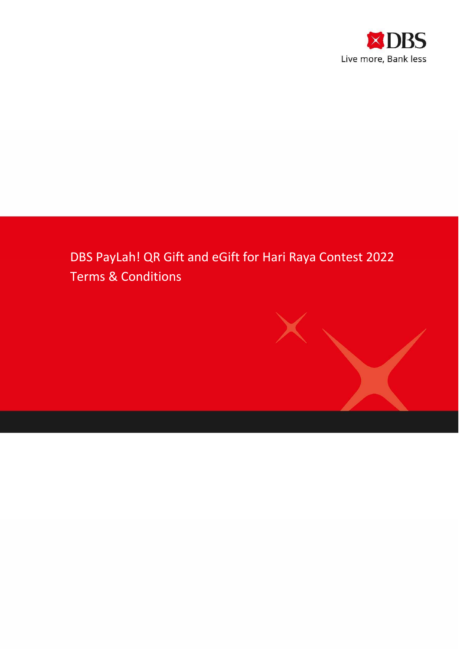

# DBS PayLah! QR Gift and eGift for Hari Raya Contest 2022 Terms & Conditions

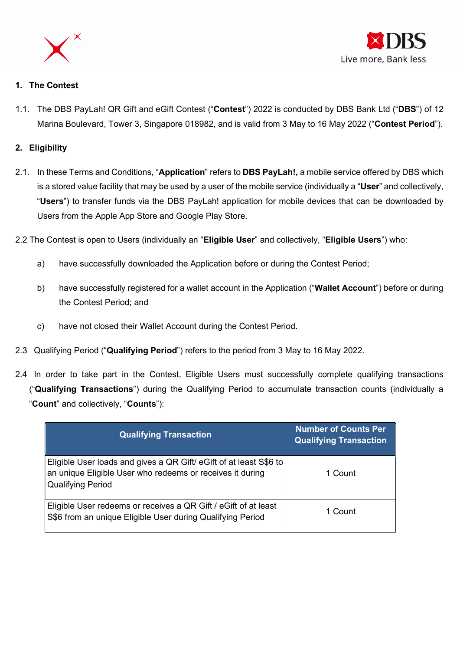



## 1. The Contest

1.1. The DBS PayLah! QR Gift and eGift Contest ("Contest") 2022 is conducted by DBS Bank Ltd ("DBS") of 12 Marina Boulevard, Tower 3, Singapore 018982, and is valid from 3 May to 16 May 2022 ("Contest Period").

### 2. Eligibility

- 2.1. In these Terms and Conditions, "Application" refers to DBS PayLah!, a mobile service offered by DBS which is a stored value facility that may be used by a user of the mobile service (individually a "User" and collectively, "Users") to transfer funds via the DBS PayLah! application for mobile devices that can be downloaded by Users from the Apple App Store and Google Play Store.
- 2.2 The Contest is open to Users (individually an "Eligible User" and collectively, "Eligible Users") who:
	- a) have successfully downloaded the Application before or during the Contest Period;
	- b) have successfully registered for a wallet account in the Application ("Wallet Account") before or during the Contest Period; and
	- c) have not closed their Wallet Account during the Contest Period.
- 2.3 Qualifying Period ("Qualifying Period") refers to the period from 3 May to 16 May 2022.
- 2.4 In order to take part in the Contest, Eligible Users must successfully complete qualifying transactions ("Qualifying Transactions") during the Qualifying Period to accumulate transaction counts (individually a "Count" and collectively, "Counts"):

| <b>Qualifying Transaction</b>                                                                                                                               | <b>Number of Counts Per</b><br><b>Qualifying Transaction</b> |
|-------------------------------------------------------------------------------------------------------------------------------------------------------------|--------------------------------------------------------------|
| Eligible User loads and gives a QR Gift/ eGift of at least S\$6 to<br>an unique Eligible User who redeems or receives it during<br><b>Qualifying Period</b> | 1 Count                                                      |
| Eligible User redeems or receives a QR Gift / eGift of at least<br>S\$6 from an unique Eligible User during Qualifying Period                               | 1 Count                                                      |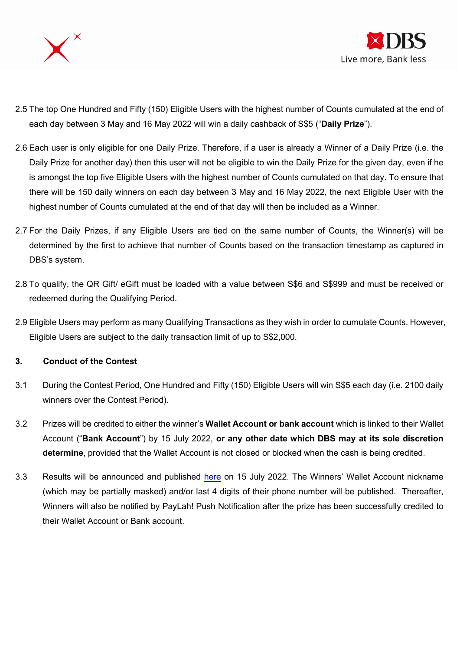



- 2.5 The top One Hundred and Fifty (150) Eligible Users with the highest number of Counts cumulated at the end of each day between 3 May and 16 May 2022 will win a daily cashback of S\$5 ("Daily Prize").
- 2.6 Each user is only eligible for one Daily Prize. Therefore, if a user is already a Winner of a Daily Prize (i.e. the Daily Prize for another day) then this user will not be eligible to win the Daily Prize for the given day, even if he is amongst the top five Eligible Users with the highest number of Counts cumulated on that day. To ensure that there will be 150 daily winners on each day between 3 May and 16 May 2022, the next Eligible User with the highest number of Counts cumulated at the end of that day will then be included as a Winner.
- 2.7 For the Daily Prizes, if any Eligible Users are tied on the same number of Counts, the Winner(s) will be determined by the first to achieve that number of Counts based on the transaction timestamp as captured in DBS's system.
- 2.8 To qualify, the QR Gift/ eGift must be loaded with a value between S\$6 and S\$999 and must be received or redeemed during the Qualifying Period.
- 2.9 Eligible Users may perform as many Qualifying Transactions as they wish in order to cumulate Counts. However, Eligible Users are subject to the daily transaction limit of up to S\$2,000.

#### 3. Conduct of the Contest

- 3.1 During the Contest Period, One Hundred and Fifty (150) Eligible Users will win S\$5 each day (i.e. 2100 daily winners over the Contest Period).
- 3.2 Prizes will be credited to either the winner's Wallet Account or bank account which is linked to their Wallet Account ("Bank Account") by 15 July 2022, or any other date which DBS may at its sole discretion determine, provided that the Wallet Account is not closed or blocked when the cash is being credited.
- 3.3 Results will be announced and published here on 15 July 2022. The Winners' Wallet Account nickname (which may be partially masked) and/or last 4 digits of their phone number will be published. Thereafter, Winners will also be notified by PayLah! Push Notification after the prize has been successfully credited to their Wallet Account or Bank account.